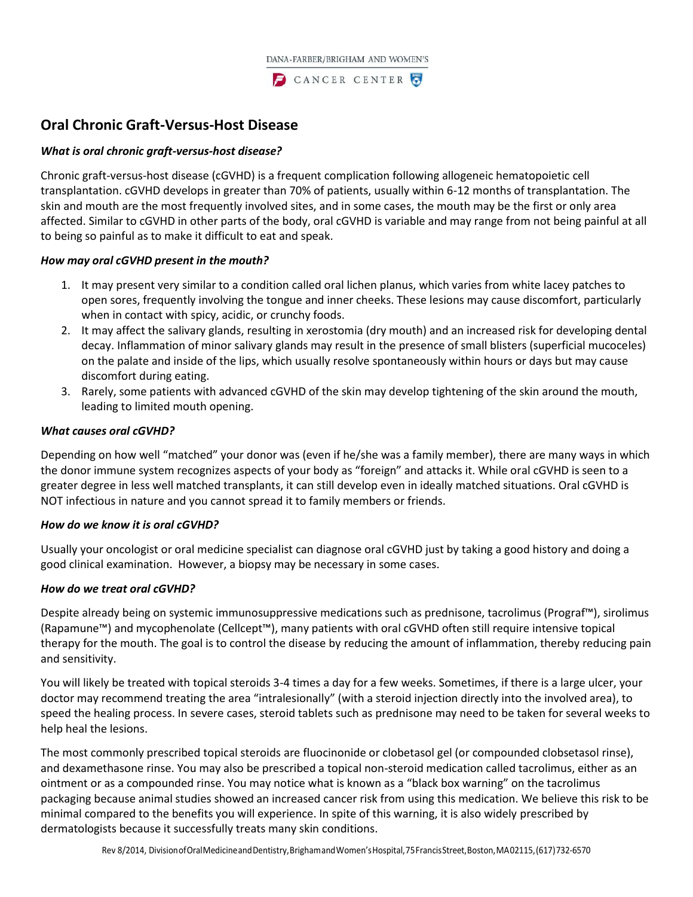

# **Oral Chronic Graft-Versus-Host Disease**

## *What is oral chronic graft-versus-host disease?*

Chronic graft-versus-host disease (cGVHD) is a frequent complication following allogeneic hematopoietic cell transplantation. cGVHD develops in greater than 70% of patients, usually within 6-12 months of transplantation. The skin and mouth are the most frequently involved sites, and in some cases, the mouth may be the first or only area affected. Similar to cGVHD in other parts of the body, oral cGVHD is variable and may range from not being painful at all to being so painful as to make it difficult to eat and speak.

#### *How may oral cGVHD present in the mouth?*

- 1. It may present very similar to a condition called oral lichen planus, which varies from white lacey patches to open sores, frequently involving the tongue and inner cheeks. These lesions may cause discomfort, particularly when in contact with spicy, acidic, or crunchy foods.
- 2. It may affect the salivary glands, resulting in xerostomia (dry mouth) and an increased risk for developing dental decay. Inflammation of minor salivary glands may result in the presence of small blisters (superficial mucoceles) on the palate and inside of the lips, which usually resolve spontaneously within hours or days but may cause discomfort during eating.
- 3. Rarely, some patients with advanced cGVHD of the skin may develop tightening of the skin around the mouth, leading to limited mouth opening.

## *What causes oral cGVHD?*

Depending on how well "matched" your donor was (even if he/she was a family member), there are many ways in which the donor immune system recognizes aspects of your body as "foreign" and attacks it. While oral cGVHD is seen to a greater degree in less well matched transplants, it can still develop even in ideally matched situations. Oral cGVHD is NOT infectious in nature and you cannot spread it to family members or friends.

#### *How do we know it is oral cGVHD?*

Usually your oncologist or oral medicine specialist can diagnose oral cGVHD just by taking a good history and doing a good clinical examination. However, a biopsy may be necessary in some cases.

# *How do we treat oral cGVHD?*

Despite already being on systemic immunosuppressive medications such as prednisone, tacrolimus (Prograf™), sirolimus (Rapamune™) and mycophenolate (Cellcept™), many patients with oral cGVHD often still require intensive topical therapy for the mouth. The goal is to control the disease by reducing the amount of inflammation, thereby reducing pain and sensitivity.

You will likely be treated with topical steroids 3-4 times a day for a few weeks. Sometimes, if there is a large ulcer, your doctor may recommend treating the area "intralesionally" (with a steroid injection directly into the involved area), to speed the healing process. In severe cases, steroid tablets such as prednisone may need to be taken for several weeks to help heal the lesions.

The most commonly prescribed topical steroids are fluocinonide or clobetasol gel (or compounded clobsetasol rinse), and dexamethasone rinse. You may also be prescribed a topical non-steroid medication called tacrolimus, either as an ointment or as a compounded rinse. You may notice what is known as a "black box warning" on the tacrolimus packaging because animal studies showed an increased cancer risk from using this medication. We believe this risk to be minimal compared to the benefits you will experience. In spite of this warning, it is also widely prescribed by dermatologists because it successfully treats many skin conditions.